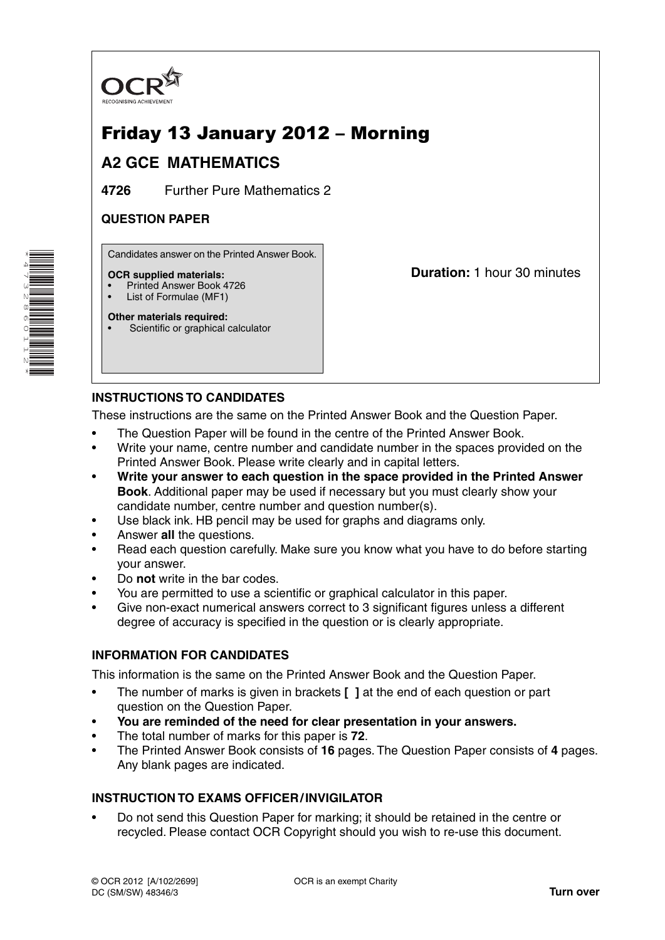

# Friday 13 January 2012 – Morning

# **A2 GCE MATHEMATICS**

**4726** Further Pure Mathematics 2

### **QUESTION PAPER**

Candidates answer on the Printed Answer Book.

#### **OCR supplied materials:**

- Printed Answer Book 4726
- List of Formulae (MF1) **Other materials required:**

**Duration:** 1 hour 30 minutes

## Scientific or graphical calculator

## **INSTRUCTIONS TO CANDIDATES**

These instructions are the same on the Printed Answer Book and the Question Paper.

- The Question Paper will be found in the centre of the Printed Answer Book.
- Write your name, centre number and candidate number in the spaces provided on the Printed Answer Book. Please write clearly and in capital letters.
- **Write your answer to each question in the space provided in the Printed Answer Book**. Additional paper may be used if necessary but you must clearly show your candidate number, centre number and question number(s).
- Use black ink. HB pencil may be used for graphs and diagrams only.
- Answer **all** the questions.
- Read each question carefully. Make sure you know what you have to do before starting your answer.
- Do **not** write in the bar codes.
- You are permitted to use a scientific or graphical calculator in this paper.
- Give non-exact numerical answers correct to 3 significant figures unless a different degree of accuracy is specified in the question or is clearly appropriate.

#### **INFORMATION FOR CANDIDATES**

This information is the same on the Printed Answer Book and the Question Paper.

- The number of marks is given in brackets **[ ]** at the end of each question or part question on the Question Paper.
- **You are reminded of the need for clear presentation in your answers.**
- The total number of marks for this paper is **72**.
- The Printed Answer Book consists of **16** pages. The Question Paper consists of **4** pages. Any blank pages are indicated.

#### **INSTRUCTION TO EXAMS OFFICER / INVIGILATOR**

• Do not send this Question Paper for marking; it should be retained in the centre or recycled. Please contact OCR Copyright should you wish to re-use this document.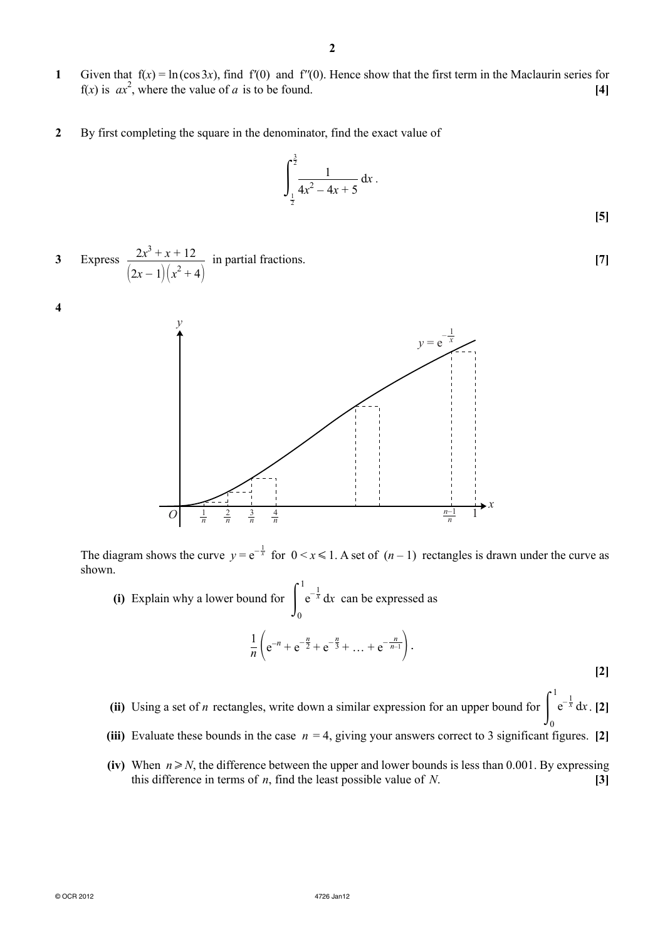- **1** Given that  $f(x) = \ln(\cos 3x)$ , find  $f'(0)$  and  $f''(0)$ . Hence show that the first term in the Maclaurin series for  $f(x)$  is  $ax^2$ , where the value of *a* is to be found. **[4]**
- **2** By first completing the square in the denominator, find the exact value of

$$
\int_{\frac{1}{2}}^{\frac{3}{2}} \frac{1}{4x^2 - 4x + 5} \, \mathrm{d}x \, .
$$

**[5]**

**3** Express  $\frac{2x^3 + x + 12}{x^2 + x + 12}$  $(2x-1)(x^2+4)$ in partial fractions. **[7]**

**4**



The diagram shows the curve  $y = e^{-\frac{1}{x}}$  for  $0 \le x \le 1$ . A set of  $(n-1)$  rectangles is drawn under the curve as shown.

**(i)** Explain why a lower bound for  $\int_{0}^{1}$ 1 0  $e^{-\frac{1}{x}} dx$  can be expressed as  $\frac{1}{n}$  $\left( e^{-n} + e^{-\frac{n}{2}} + e^{-\frac{n}{3}} + \ldots + e^{-\frac{n}{n-1}} \right)$ .

**[2]**

- **(ii)** Using a set of *n* rectangles, write down a similar expression for an upper bound for  $\int_{0}^{1}$ 1  $\mathbf 0$  $e^{-\frac{1}{x}} dx$ . [2]
	- **(iii)** Evaluate these bounds in the case  $n = 4$ , giving your answers correct to 3 significant figures. [2]
	- **(iv)** When  $n \ge N$ , the difference between the upper and lower bounds is less than 0.001. By expressing this difference in terms of *n*, find the least possible value of *N*. **[3]**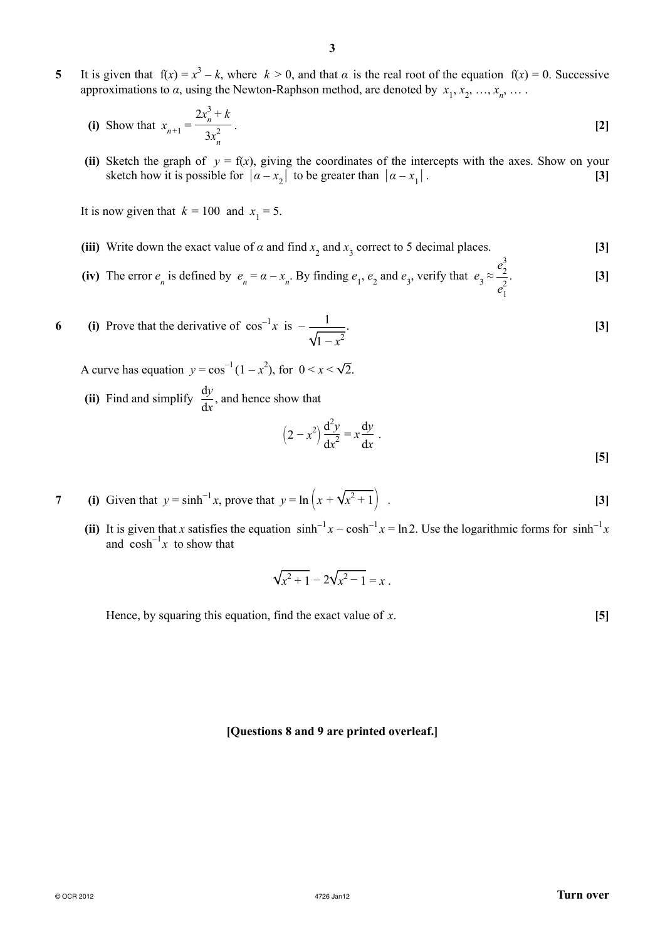**5** It is given that  $f(x) = x^3 - k$ , where  $k > 0$ , and that  $\alpha$  is the real root of the equation  $f(x) = 0$ . Successive approximations to  $\alpha$ , using the Newton-Raphson method, are denoted by  $x_1, x_2, ..., x_n, ...$ 

(i) Show that 
$$
x_{n+1} = \frac{2x_n^3 + k}{3x_n^2}
$$
. [2]

**(ii)** Sketch the graph of  $y = f(x)$ , giving the coordinates of the intercepts with the axes. Show on your sketch how it is possible for  $|a-x_2|$  to be greater than  $|a-x_1|$ . **[3]** 

It is now given that  $k = 100$  and  $x_1 = 5$ .

- (iii) Write down the exact value of  $\alpha$  and find  $x_2$  and  $x_3$  correct to 5 decimal places. [3]
- (iv) The error  $e_n$  is defined by  $e_n = \alpha x_n$ . By finding  $e_1, e_2$  and  $e_3$ , verify that  $e_3 \approx$  $e_2^3$  $e_1^2$ . **[3]**
- **6** (i) Prove that the derivative of  $\cos^{-1} x$  is  $-\frac{1}{\sqrt{2}}$  $\int_1 -x^2$ . **[3]**

A curve has equation  $y = cos^{-1}(1 - x^2)$ , for  $0 \le x \le \sqrt{2}$ .

(ii) Find and simplify  $\frac{dy}{dx}$ , and hence show that

$$
(2 - x2) \frac{d2y}{dx2} = x \frac{dy}{dx} .
$$

- **7** (i) Given that  $y = \sinh^{-1} x$ , prove that  $y = \ln (x + \sqrt{x^2 + 1})$  . [3]
- (ii) It is given that *x* satisfies the equation  $\sinh^{-1} x \cosh^{-1} x = \ln 2$ . Use the logarithmic forms for  $\sinh^{-1} x$ and  $\cosh^{-1} x$  to show that

$$
\sqrt{x^2+1} - 2\sqrt{x^2-1} = x.
$$

Hence, by squaring this equation, find the exact value of *x*. **[5]**

#### **[Questions 8 and 9 are printed overleaf.]**